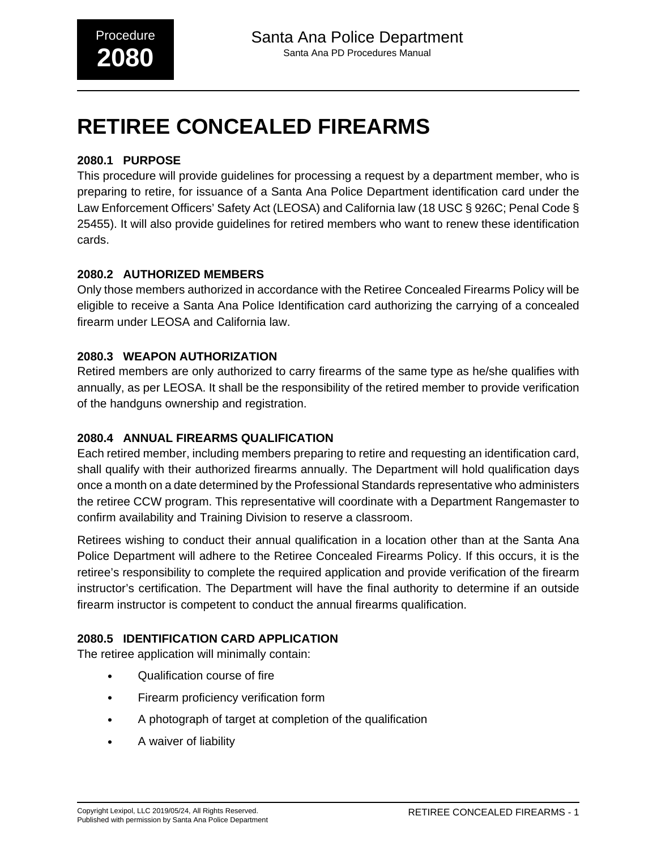# **RETIREE CONCEALED FIREARMS**

# **2080.1 PURPOSE**

This procedure will provide guidelines for processing a request by a department member, who is preparing to retire, for issuance of a Santa Ana Police Department identification card under the Law Enforcement Officers' Safety Act (LEOSA) and California law (18 USC § 926C; Penal Code § 25455). It will also provide guidelines for retired members who want to renew these identification cards.

## **2080.2 AUTHORIZED MEMBERS**

Only those members authorized in accordance with the Retiree Concealed Firearms Policy will be eligible to receive a Santa Ana Police Identification card authorizing the carrying of a concealed firearm under LEOSA and California law.

### **2080.3 WEAPON AUTHORIZATION**

Retired members are only authorized to carry firearms of the same type as he/she qualifies with annually, as per LEOSA. It shall be the responsibility of the retired member to provide verification of the handguns ownership and registration.

# **2080.4 ANNUAL FIREARMS QUALIFICATION**

Each retired member, including members preparing to retire and requesting an identification card, shall qualify with their authorized firearms annually. The Department will hold qualification days once a month on a date determined by the Professional Standards representative who administers the retiree CCW program. This representative will coordinate with a Department Rangemaster to confirm availability and Training Division to reserve a classroom.

Retirees wishing to conduct their annual qualification in a location other than at the Santa Ana Police Department will adhere to the Retiree Concealed Firearms Policy. If this occurs, it is the retiree's responsibility to complete the required application and provide verification of the firearm instructor's certification. The Department will have the final authority to determine if an outside firearm instructor is competent to conduct the annual firearms qualification.

### **2080.5 IDENTIFICATION CARD APPLICATION**

The retiree application will minimally contain:

- Qualification course of fire
- Firearm proficiency verification form
- A photograph of target at completion of the qualification
- A waiver of liability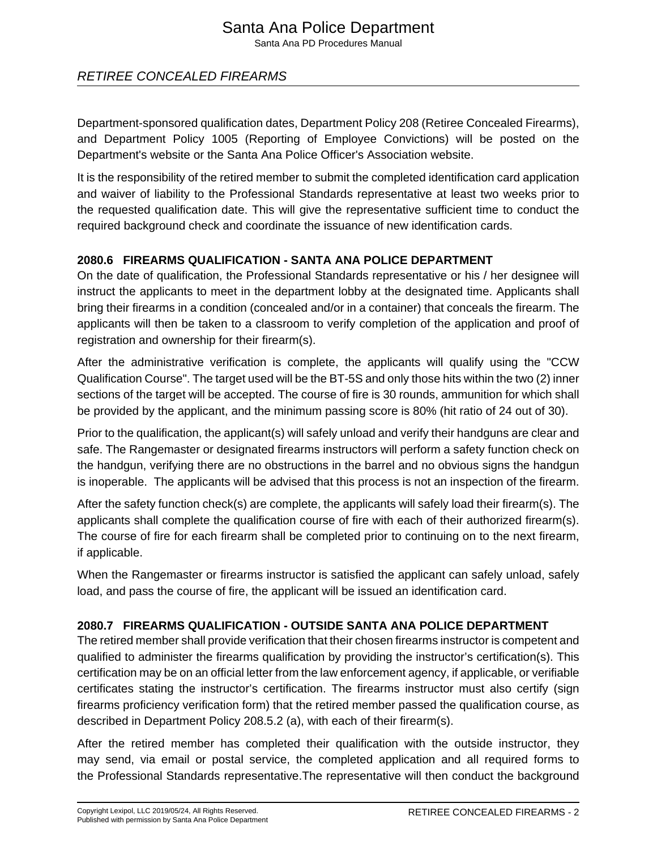# Santa Ana Police Department

Santa Ana PD Procedures Manual

# RETIREE CONCEALED FIREARMS

Department-sponsored qualification dates, Department Policy 208 (Retiree Concealed Firearms), and Department Policy 1005 (Reporting of Employee Convictions) will be posted on the Department's website or the Santa Ana Police Officer's Association website.

It is the responsibility of the retired member to submit the completed identification card application and waiver of liability to the Professional Standards representative at least two weeks prior to the requested qualification date. This will give the representative sufficient time to conduct the required background check and coordinate the issuance of new identification cards.

### **2080.6 FIREARMS QUALIFICATION - SANTA ANA POLICE DEPARTMENT**

On the date of qualification, the Professional Standards representative or his / her designee will instruct the applicants to meet in the department lobby at the designated time. Applicants shall bring their firearms in a condition (concealed and/or in a container) that conceals the firearm. The applicants will then be taken to a classroom to verify completion of the application and proof of registration and ownership for their firearm(s).

After the administrative verification is complete, the applicants will qualify using the "CCW Qualification Course". The target used will be the BT-5S and only those hits within the two (2) inner sections of the target will be accepted. The course of fire is 30 rounds, ammunition for which shall be provided by the applicant, and the minimum passing score is 80% (hit ratio of 24 out of 30).

Prior to the qualification, the applicant(s) will safely unload and verify their handguns are clear and safe. The Rangemaster or designated firearms instructors will perform a safety function check on the handgun, verifying there are no obstructions in the barrel and no obvious signs the handgun is inoperable. The applicants will be advised that this process is not an inspection of the firearm.

After the safety function check(s) are complete, the applicants will safely load their firearm(s). The applicants shall complete the qualification course of fire with each of their authorized firearm(s). The course of fire for each firearm shall be completed prior to continuing on to the next firearm, if applicable.

When the Rangemaster or firearms instructor is satisfied the applicant can safely unload, safely load, and pass the course of fire, the applicant will be issued an identification card.

### **2080.7 FIREARMS QUALIFICATION - OUTSIDE SANTA ANA POLICE DEPARTMENT**

The retired member shall provide verification that their chosen firearms instructor is competent and qualified to administer the firearms qualification by providing the instructor's certification(s). This certification may be on an official letter from the law enforcement agency, if applicable, or verifiable certificates stating the instructor's certification. The firearms instructor must also certify (sign firearms proficiency verification form) that the retired member passed the qualification course, as described in Department Policy 208.5.2 (a), with each of their firearm(s).

After the retired member has completed their qualification with the outside instructor, they may send, via email or postal service, the completed application and all required forms to the Professional Standards representative.The representative will then conduct the background